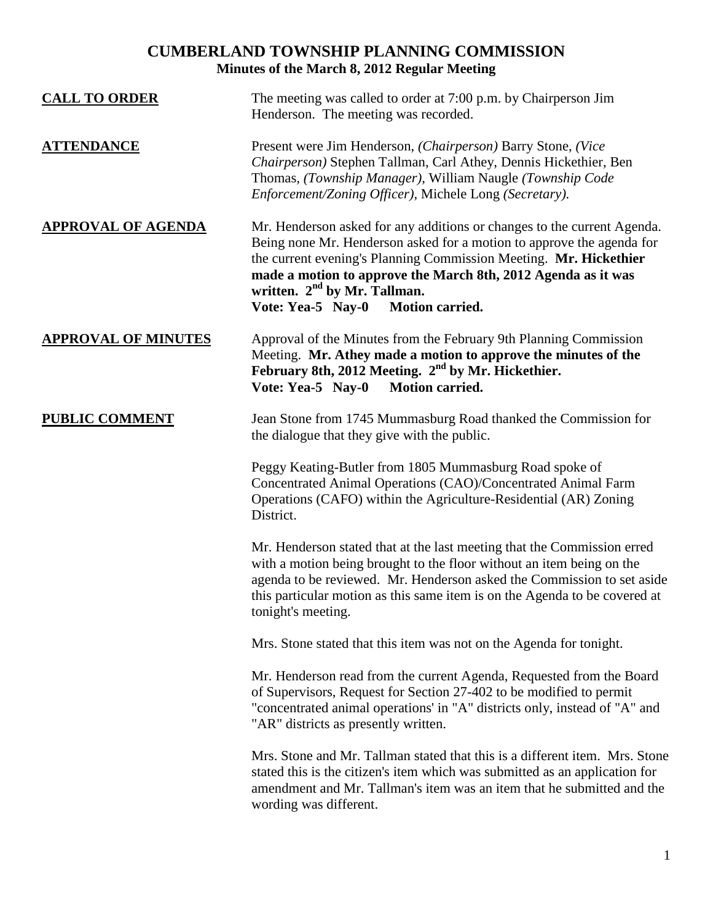## **CUMBERLAND TOWNSHIP PLANNING COMMISSION Minutes of the March 8, 2012 Regular Meeting**

| <b>CALL TO ORDER</b>       | The meeting was called to order at 7:00 p.m. by Chairperson Jim<br>Henderson. The meeting was recorded.                                                                                                                                                                                                                                                       |
|----------------------------|---------------------------------------------------------------------------------------------------------------------------------------------------------------------------------------------------------------------------------------------------------------------------------------------------------------------------------------------------------------|
| <b>ATTENDANCE</b>          | Present were Jim Henderson, (Chairperson) Barry Stone, (Vice<br>Chairperson) Stephen Tallman, Carl Athey, Dennis Hickethier, Ben<br>Thomas, (Township Manager), William Naugle (Township Code<br>Enforcement/Zoning Officer), Michele Long (Secretary).                                                                                                       |
| <b>APPROVAL OF AGENDA</b>  | Mr. Henderson asked for any additions or changes to the current Agenda.<br>Being none Mr. Henderson asked for a motion to approve the agenda for<br>the current evening's Planning Commission Meeting. Mr. Hickethier<br>made a motion to approve the March 8th, 2012 Agenda as it was<br>written. $2nd$ by Mr. Tallman.<br>Vote: Yea-5 Nay-0 Motion carried. |
| <b>APPROVAL OF MINUTES</b> | Approval of the Minutes from the February 9th Planning Commission<br>Meeting. Mr. Athey made a motion to approve the minutes of the<br>February 8th, 2012 Meeting. 2 <sup>nd</sup> by Mr. Hickethier.<br>Vote: Yea-5 Nay-0<br>Motion carried.                                                                                                                 |
| <b>PUBLIC COMMENT</b>      | Jean Stone from 1745 Mummasburg Road thanked the Commission for<br>the dialogue that they give with the public.                                                                                                                                                                                                                                               |
|                            | Peggy Keating-Butler from 1805 Mummasburg Road spoke of<br>Concentrated Animal Operations (CAO)/Concentrated Animal Farm<br>Operations (CAFO) within the Agriculture-Residential (AR) Zoning<br>District.                                                                                                                                                     |
|                            | Mr. Henderson stated that at the last meeting that the Commission erred<br>with a motion being brought to the floor without an item being on the<br>agenda to be reviewed. Mr. Henderson asked the Commission to set aside<br>this particular motion as this same item is on the Agenda to be covered at<br>tonight's meeting.                                |
|                            | Mrs. Stone stated that this item was not on the Agenda for tonight.                                                                                                                                                                                                                                                                                           |
|                            | Mr. Henderson read from the current Agenda, Requested from the Board<br>of Supervisors, Request for Section 27-402 to be modified to permit<br>"concentrated animal operations' in "A" districts only, instead of "A" and<br>"AR" districts as presently written.                                                                                             |
|                            | Mrs. Stone and Mr. Tallman stated that this is a different item. Mrs. Stone<br>stated this is the citizen's item which was submitted as an application for<br>amendment and Mr. Tallman's item was an item that he submitted and the<br>wording was different.                                                                                                |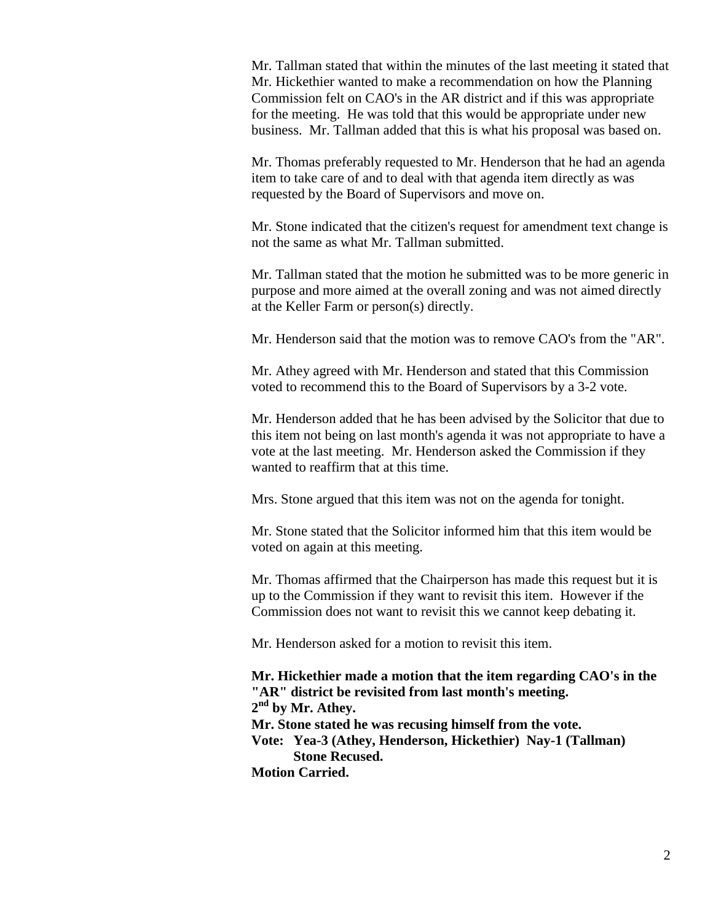Mr. Tallman stated that within the minutes of the last meeting it stated that Mr. Hickethier wanted to make a recommendation on how the Planning Commission felt on CAO's in the AR district and if this was appropriate for the meeting. He was told that this would be appropriate under new business. Mr. Tallman added that this is what his proposal was based on.

Mr. Thomas preferably requested to Mr. Henderson that he had an agenda item to take care of and to deal with that agenda item directly as was requested by the Board of Supervisors and move on.

Mr. Stone indicated that the citizen's request for amendment text change is not the same as what Mr. Tallman submitted.

Mr. Tallman stated that the motion he submitted was to be more generic in purpose and more aimed at the overall zoning and was not aimed directly at the Keller Farm or person(s) directly.

Mr. Henderson said that the motion was to remove CAO's from the "AR".

Mr. Athey agreed with Mr. Henderson and stated that this Commission voted to recommend this to the Board of Supervisors by a 3-2 vote.

Mr. Henderson added that he has been advised by the Solicitor that due to this item not being on last month's agenda it was not appropriate to have a vote at the last meeting. Mr. Henderson asked the Commission if they wanted to reaffirm that at this time.

Mrs. Stone argued that this item was not on the agenda for tonight.

Mr. Stone stated that the Solicitor informed him that this item would be voted on again at this meeting.

Mr. Thomas affirmed that the Chairperson has made this request but it is up to the Commission if they want to revisit this item. However if the Commission does not want to revisit this we cannot keep debating it.

Mr. Henderson asked for a motion to revisit this item.

**Mr. Hickethier made a motion that the item regarding CAO's in the "AR" district be revisited from last month's meeting. 2 nd by Mr. Athey. Mr. Stone stated he was recusing himself from the vote. Vote: Yea-3 (Athey, Henderson, Hickethier) Nay-1 (Tallman) Stone Recused. Motion Carried.**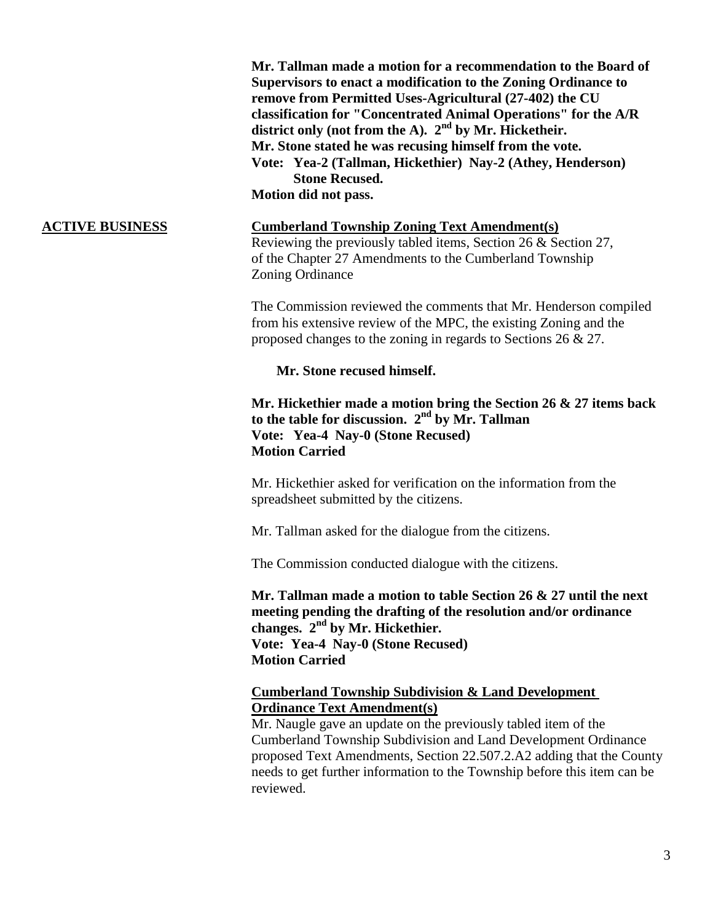**Mr. Tallman made a motion for a recommendation to the Board of Supervisors to enact a modification to the Zoning Ordinance to remove from Permitted Uses-Agricultural (27-402) the CU classification for "Concentrated Animal Operations" for the A/R district only (not from the A). 2nd by Mr. Hicketheir. Mr. Stone stated he was recusing himself from the vote. Vote: Yea-2 (Tallman, Hickethier) Nay-2 (Athey, Henderson) Stone Recused. Motion did not pass.**

## **ACTIVE BUSINESS Cumberland Township Zoning Text Amendment(s)**

Reviewing the previously tabled items, Section 26 & Section 27, of the Chapter 27 Amendments to the Cumberland Township Zoning Ordinance

The Commission reviewed the comments that Mr. Henderson compiled from his extensive review of the MPC, the existing Zoning and the proposed changes to the zoning in regards to Sections 26 & 27.

**Mr. Stone recused himself.**

**Mr. Hickethier made a motion bring the Section 26 & 27 items back to the table for discussion. 2nd by Mr. Tallman Vote: Yea-4 Nay-0 (Stone Recused) Motion Carried**

Mr. Hickethier asked for verification on the information from the spreadsheet submitted by the citizens.

Mr. Tallman asked for the dialogue from the citizens.

The Commission conducted dialogue with the citizens.

**Mr. Tallman made a motion to table Section 26 & 27 until the next meeting pending the drafting of the resolution and/or ordinance changes. 2nd by Mr. Hickethier. Vote: Yea-4 Nay-0 (Stone Recused) Motion Carried**

### **Cumberland Township Subdivision & Land Development Ordinance Text Amendment(s)**

Mr. Naugle gave an update on the previously tabled item of the Cumberland Township Subdivision and Land Development Ordinance proposed Text Amendments, Section 22.507.2.A2 adding that the County needs to get further information to the Township before this item can be reviewed.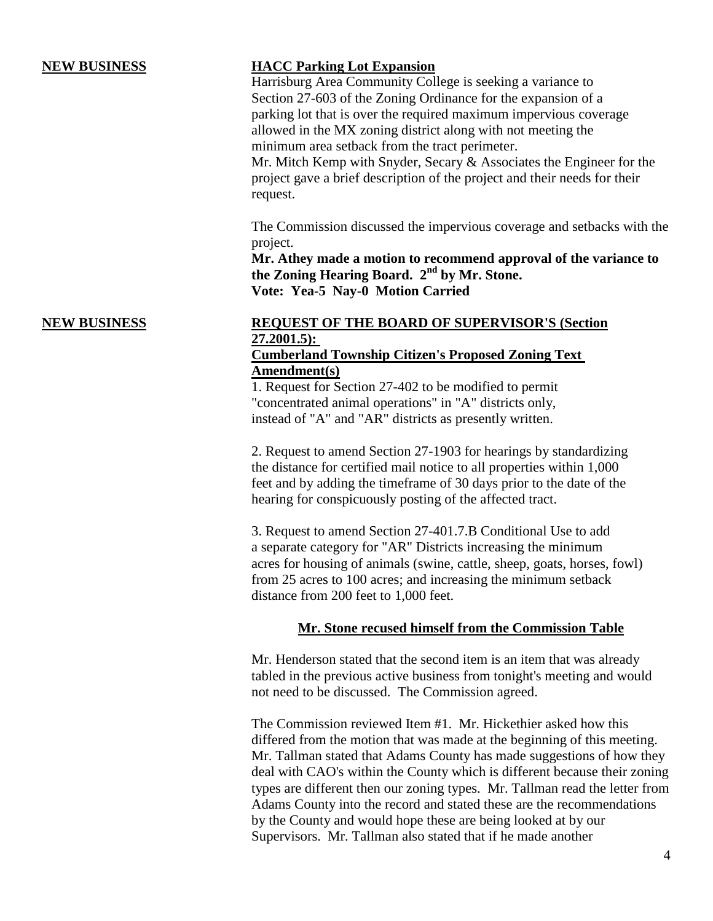## **NEW BUSINESS HACC Parking Lot Expansion**

Harrisburg Area Community College is seeking a variance to Section 27-603 of the Zoning Ordinance for the expansion of a parking lot that is over the required maximum impervious coverage allowed in the MX zoning district along with not meeting the minimum area setback from the tract perimeter.

Mr. Mitch Kemp with Snyder, Secary & Associates the Engineer for the project gave a brief description of the project and their needs for their request.

The Commission discussed the impervious coverage and setbacks with the project.

**Mr. Athey made a motion to recommend approval of the variance to the Zoning Hearing Board. 2nd by Mr. Stone. Vote: Yea-5 Nay-0 Motion Carried** 

# **NEW BUSINESS REQUEST OF THE BOARD OF SUPERVISOR'S (Section 27.2001.5):**

## **Cumberland Township Citizen's Proposed Zoning Text Amendment(s)**

1. Request for Section 27-402 to be modified to permit "concentrated animal operations" in "A" districts only, instead of "A" and "AR" districts as presently written.

2. Request to amend Section 27-1903 for hearings by standardizing the distance for certified mail notice to all properties within 1,000 feet and by adding the timeframe of 30 days prior to the date of the hearing for conspicuously posting of the affected tract.

3. Request to amend Section 27-401.7.B Conditional Use to add a separate category for "AR" Districts increasing the minimum acres for housing of animals (swine, cattle, sheep, goats, horses, fowl) from 25 acres to 100 acres; and increasing the minimum setback distance from 200 feet to 1,000 feet.

### **Mr. Stone recused himself from the Commission Table**

Mr. Henderson stated that the second item is an item that was already tabled in the previous active business from tonight's meeting and would not need to be discussed. The Commission agreed.

The Commission reviewed Item #1. Mr. Hickethier asked how this differed from the motion that was made at the beginning of this meeting. Mr. Tallman stated that Adams County has made suggestions of how they deal with CAO's within the County which is different because their zoning types are different then our zoning types. Mr. Tallman read the letter from Adams County into the record and stated these are the recommendations by the County and would hope these are being looked at by our Supervisors. Mr. Tallman also stated that if he made another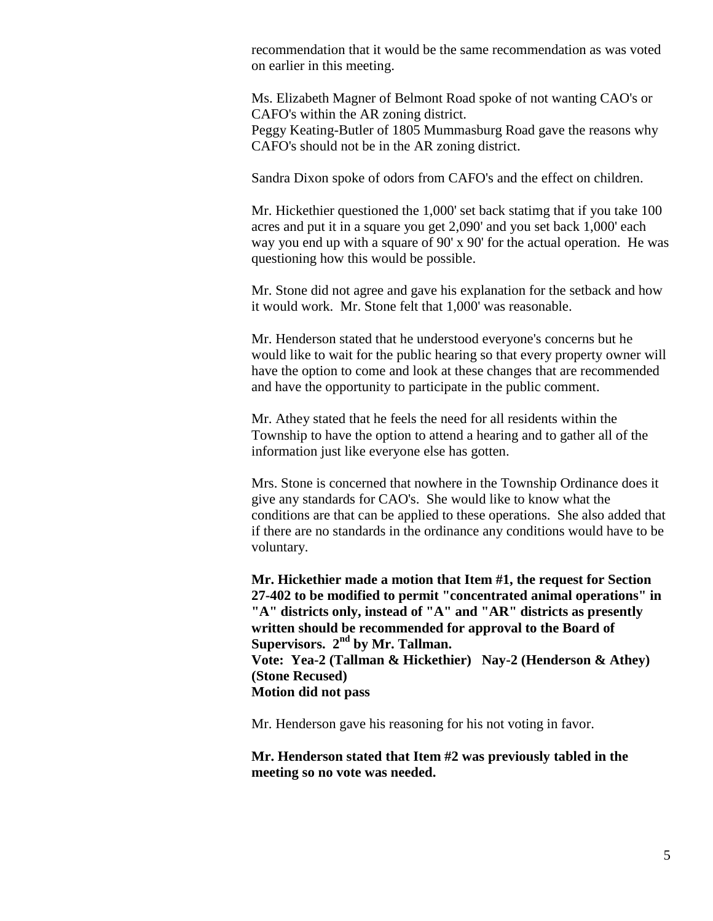recommendation that it would be the same recommendation as was voted on earlier in this meeting.

Ms. Elizabeth Magner of Belmont Road spoke of not wanting CAO's or CAFO's within the AR zoning district.

Peggy Keating-Butler of 1805 Mummasburg Road gave the reasons why CAFO's should not be in the AR zoning district.

Sandra Dixon spoke of odors from CAFO's and the effect on children.

Mr. Hickethier questioned the 1,000' set back statimg that if you take 100 acres and put it in a square you get 2,090' and you set back 1,000' each way you end up with a square of 90' x 90' for the actual operation. He was questioning how this would be possible.

Mr. Stone did not agree and gave his explanation for the setback and how it would work. Mr. Stone felt that 1,000' was reasonable.

Mr. Henderson stated that he understood everyone's concerns but he would like to wait for the public hearing so that every property owner will have the option to come and look at these changes that are recommended and have the opportunity to participate in the public comment.

Mr. Athey stated that he feels the need for all residents within the Township to have the option to attend a hearing and to gather all of the information just like everyone else has gotten.

Mrs. Stone is concerned that nowhere in the Township Ordinance does it give any standards for CAO's. She would like to know what the conditions are that can be applied to these operations. She also added that if there are no standards in the ordinance any conditions would have to be voluntary.

**Mr. Hickethier made a motion that Item #1, the request for Section 27-402 to be modified to permit "concentrated animal operations" in "A" districts only, instead of "A" and "AR" districts as presently written should be recommended for approval to the Board of Supervisors. 2nd by Mr. Tallman. Vote: Yea-2 (Tallman & Hickethier) Nay-2 (Henderson & Athey) (Stone Recused) Motion did not pass**

Mr. Henderson gave his reasoning for his not voting in favor.

**Mr. Henderson stated that Item #2 was previously tabled in the meeting so no vote was needed.**